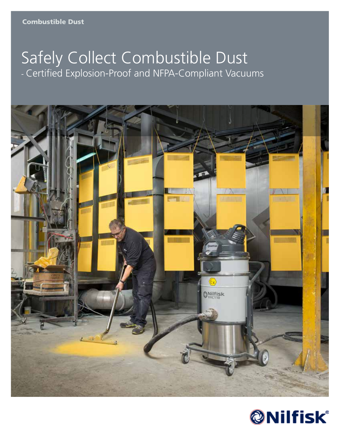# Safely Collect Combustible Dust - Certified Explosion-Proof and NFPA-Compliant Vacuums



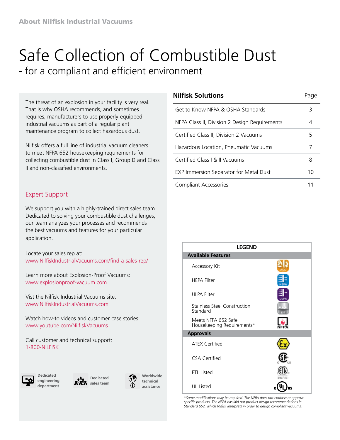# Safe Collection of Combustible Dust

- for a compliant and efficient environment

The threat of an explosion in your facility is very real. That is why OSHA recommends, and sometimes requires, manufacturers to use properly-equipped industrial vacuums as part of a regular plant maintenance program to collect hazardous dust.

Nilfisk offers a full line of industrial vacuum cleaners to meet NFPA 652 housekeeping requirements for collecting combustible dust in Class I, Group D and Class II and non-classified environments.

### Expert Support

We support you with a highly-trained direct sales team. Dedicated to solving your combustible dust challenges, our team analyzes your processes and recommends the best vacuums and features for your particular application.

Locate your sales rep at: www.NilfiskIndustrialVacuums.com/find-a-sales-rep/

Learn more about Explosion-Proof Vacuums: www.explosionproof-vacuum.com

Vist the Nilfisk Industrial Vacuums site: www.NilfiskIndustrialVacuums.com

Watch how-to videos and customer case stories: www.youtube.com/NilfiskVacuums

Call customer and technical support: 1-800-NILFISK







**Worldwide technical assistance**

#### **Nilfisk Solutions Page**

Get to Know NFPA & OSHA Standards 3 NFPA Class II, Division 2 Design Requirements 4 Certified Class II, Division 2 Vacuums 5 Hazardous Location, Pneumatic Vacuums 7 Certified Class I & II Vacuums 8 EXP Immersion Separator for Metal Dust 10 Compliant Accessories 11

| <b>LEGEND</b>                                     |    |
|---------------------------------------------------|----|
| <b>Available Features</b>                         |    |
| Accessory Kit                                     |    |
| <b>HEPA Filter</b>                                |    |
| <b>ULPA Filter</b>                                |    |
| <b>Stainless Steel Construction</b><br>Standard   |    |
| Meets NFPA 652 Safe<br>Housekeeping Requirements* |    |
| <b>Approvals</b>                                  |    |
| <b>ATEX Certified</b>                             |    |
| <b>CSA Certified</b>                              |    |
| <b>ETL Listed</b>                                 |    |
| UL Listed                                         | IS |

*\*Some modifications may be required. The NFPA does not endorse or approve specific products. The NFPA has laid out product design recommendations in Standard 652, which Nilfisk interprets in order to design compliant vacuums.*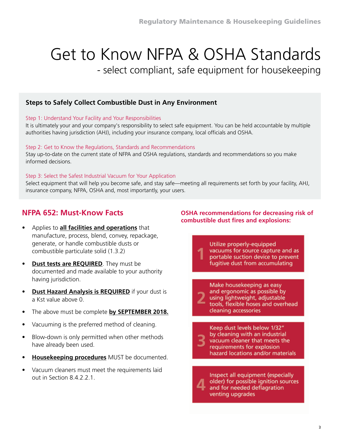## Get to Know NFPA & OSHA Standards - select compliant, safe equipment for housekeeping

### **Steps to Safely Collect Combustible Dust in Any Environment**

#### Step 1: Understand Your Facility and Your Responsibilities

It is ultimately your and your company's responsibility to select safe equipment. You can be held accountable by multiple authorities having jurisdiction (AHJ), including your insurance company, local officials and OSHA.

#### Step 2: Get to Know the Regulations, Standards and Recommendations

Stay up-to-date on the current state of NFPA and OSHA regulations, standards and recommendations so you make informed decisions.

#### Step 3: Select the Safest Industrial Vacuum for Your Application

Select equipment that will help you become safe, and stay safe—meeting all requirements set forth by your facility, AHJ, insurance company, NFPA, OSHA and, most importantly, your users.

### **NFPA 652: Must-Know Facts**

- Applies to **all facilities and operations** that manufacture, process, blend, convey, repackage, generate, or handle combustible dusts or combustible particulate solid (1.3.2)
- **Pust tests are REQUIRED**. They must be documented and made available to your authority having jurisdiction.
- **• Dust Hazard Analysis is REQUIRED** if your dust is a Kst value above 0.
- The above must be complete **by SEPTEMBER 2018.**
- Vacuuming is the preferred method of cleaning.
- Blow-down is only permitted when other methods have already been used.
- **• Housekeeping procedures** MUST be documented.
- Vacuum cleaners must meet the requirements laid out in Section 8.4.2.2.1.

#### **OSHA recommendations for decreasing risk of combustible dust fires and explosions:**

Utilize properly-equipped vacuums for source capture and as portable suction device to prevent fugitive dust from accumulating

Make housekeeping as easy and ergonomic as possible by using lightweight, adjustable tools, flexible hoses and overhead cleaning accessories

Keep dust levels below 1/32" by cleaning with an industrial vacuum cleaner that meets the requirements for explosion hazard locations and/or materials

Inspect all equipment (especially older) for possible ignition sources and for needed deflagration venting upgrades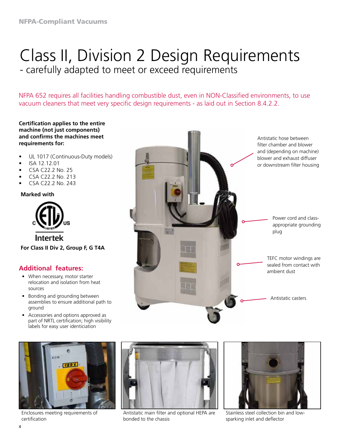## Class II, Division 2 Design Requirements - carefully adapted to meet or exceed requirements

NFPA 652 requires all facilities handling combustible dust, even in NON-Classified environments, to use vacuum cleaners that meet very specific design requirements - as laid out in Section 8.4.2.2.

#### **Certification applies to the entire machine (not just components) and confirms the machines meet requirements for:**

- UL 1017 (Continuous-Duty models)
- ISA 12.12.01
- CSA C22.2 No. 25
- CSA C22.2 No. 213
- CSA C22.2 No. 243

#### **Marked with**



**For Class II Div 2, Group F, G T4A**

### **Additional features:**

- When necessary, motor starter relocation and isolation from heat sources
- Bonding and grounding between assemblies to ensure additional path to ground
- Accessories and options approved as part of NRTL certification; high visibility labels for easy user identiciation



Enclosures meeting requirements of certification



Antistatic main filter and optional HEPA are bonded to the chassis



Stainless steel collection bin and lowsparking inlet and deflector

Antistatic hose between filter chamber and blower and (depending on machine) blower and exhaust diffuser or downstream filter housing

> Power cord and classappropriate grounding plug

TEFC motor windings are sealed from contact with ambient dust

Antistatic casters

4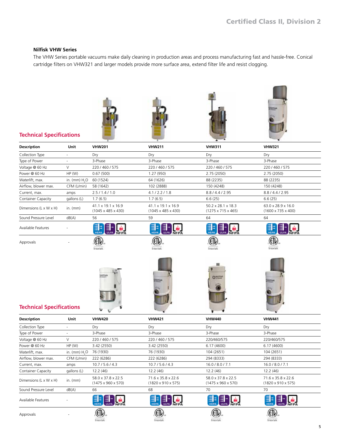#### **Nilfisk VHW Series**

The VHW Series portable vacuums make daily cleaning in production areas and process manufacturing fast and hassle-free. Conical cartridge filters on VHW321 and larger models provide more surface area, extend filter life and resist clogging.









#### **Technical Specifications**

| <b>Description</b>              | Unit                        | <b>VHW201</b>                                        | <b>VHW211</b>                                        | <b>VHW311</b>                                        | <b>VHW321</b>                                        |
|---------------------------------|-----------------------------|------------------------------------------------------|------------------------------------------------------|------------------------------------------------------|------------------------------------------------------|
| Collection Type                 | ÷,                          | Dry                                                  | Dry                                                  | Dry                                                  | Dry                                                  |
| Type of Power                   | ÷,                          | 3-Phase                                              | 3-Phase                                              | 3-Phase                                              | 3-Phase                                              |
| Voltage @ 60 Hz                 | $\vee$                      | 220 / 460 / 575                                      | 220 / 460 / 575                                      | 220 / 460 / 575                                      | 220/460/575                                          |
| Power @ 60 Hz                   | HP(W)                       | 0.67(500)                                            | 1.27 (950)                                           | 2.75 (2050)                                          | 2.75 (2050)                                          |
| Waterlift, max.                 | in. ( $mm$ ) $H2O$          | 60 (1524)                                            | 64 (1626)                                            | 88 (2235)                                            | 88 (2235)                                            |
| Airflow, blower max.            | CFM (L/min)                 | 58 (1642)                                            | 102 (2888)                                           | 150 (4248)                                           | 150 (4248)                                           |
| Current, max.                   | amps                        | 2.5/1.4/1.0                                          | 4.1 / 2.2 / 1.8                                      | 8.8 / 4.4 / 2.95                                     | 8.8 / 4.4 / 2.95                                     |
| <b>Container Capacity</b>       | gallons (L)                 | 1.7(6.5)                                             | 1.7(6.5)                                             | 6.6(25)                                              | 6.6(25)                                              |
| Dimensions (L x W x H)          | in. $(mm)$                  | 41.1 x 19.1 x 16.9<br>$(1045 \times 485 \times 430)$ | 41.1 x 19.1 x 16.9<br>$(1045 \times 485 \times 430)$ | 50.2 x 28.1 x 18.3<br>$(1275 \times 715 \times 465)$ | 63.0 x 28.9 x 16.0<br>(1600 x 735 x 400)             |
| Sound Pressure Level            | dB(A)                       | 56                                                   | 59                                                   | 64                                                   | 64                                                   |
| Available Features              |                             |                                                      |                                                      |                                                      |                                                      |
| Approvals                       |                             | literité                                             | <b>Interted</b>                                      | Fine ches                                            | Ϊ                                                    |
| <b>Technical Specifications</b> |                             |                                                      |                                                      | <b>ONUTI</b>                                         |                                                      |
| <b>Description</b>              | Unit                        | <b>VHW420</b>                                        | <b>VHW421</b>                                        | <b>VHW440</b>                                        | <b>VHW441</b>                                        |
| Collection Type                 |                             | Dry                                                  | Dry                                                  | Dry                                                  | Dry                                                  |
| Type of Power                   | $\mathcal{L}_{\mathcal{A}}$ | 3-Phase                                              | 3-Phase                                              | 3-Phase                                              | 3-Phase                                              |
| Voltage @ 60 Hz                 | V                           | 220 / 460 / 575                                      | 220 / 460 / 575                                      | 220/460/575                                          | 220/460/575                                          |
| Power @ 60 Hz                   | HP(W)                       | 3.42 (2550)                                          | 3.42 (2550)                                          | 6.17 (4600)                                          | 6.17 (4600)                                          |
| Waterlift, max.                 | in. (mm) $H2O$              | 76 (1930)                                            | 76 (1930)                                            | 104 (2651)                                           | 104 (2651)                                           |
| Airflow, blower max.            | CFM (L/min)                 | 222 (6286)                                           | 222 (6286)                                           | 294 (8333)                                           | 294 (8333)                                           |
| Current, max.                   | amps                        | 10.7 / 5.6 / 4.3                                     | 10.7 / 5.6 / 4.3                                     | 16.0 / 8.0 / 7.1                                     | 16.0 / 8.0 / 7.1                                     |
| Container Capacity              | gallons (L)                 | 12.2(46)                                             | 12.2(46)                                             | 12.2 (46)                                            | 12.2 (46)                                            |
| Dimensions (L x W x H)          | in. $(mm)$                  | 58.0 x 37.8 x 22.5<br>(1475 x 960 x 570)             | 71.6 x 35.8 x 22.6<br>$(1820 \times 910 \times 575)$ | 58.0 x 37.8 x 22.5<br>$(1475 \times 960 \times 570)$ | 71.6 x 35.8 x 22.6<br>$(1820 \times 910 \times 575)$ |
| Sound Pressure Level            | dB(A)                       | 66                                                   | 68                                                   | 70                                                   | 70                                                   |
| Available Features              |                             |                                                      |                                                      | ULPA<br><b>NFPA</b>                                  | ULPA<br><b>NFPA</b>                                  |
| Approvals                       |                             | <b>Intertek</b>                                      | <b>literctes</b>                                     | €l<br><b>Intercted</b>                               | €IN<br>iricertek                                     |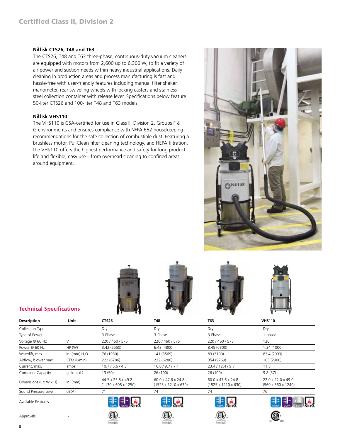#### **Nilfisk CTS26, T48 and T63**

The CTS26, T48 and T63 three-phase, continuous-duty vacuum cleaners are equipped with motors from 2,600 up to 6,300 W, to fit a variety of air power and suction needs within heavy industrial applications. Daily cleaning in production areas and process manufacturing is fast and hassle-free with user-friendly features including manual filter shaker, manometer, rear swiveling wheels with locking casters and stainless steel collection container with release lever. Specifications below feature 50-liter CTS26 and 100-liter T48 and T63 models.

#### **Nilfisk VHS110**

The VHS110 is CSA-certified for use in Class II, Division 2, Groups F & G environments and ensures compliance with NFPA 652 housekeeping recommendations for the safe collection of combustible dust. Featuring a brushless motor, PullClean filter cleaning technology, and HEPA filtration, the VHS110 offers the highest performance and safety for long product life and flexible, easy use—from overhead cleaning to confined areas around equipment.





| <b>Description</b>        | Unit           | <b>CTS26</b>                                          | <b>T48</b>                                                        | <b>T63</b>                                                        | <b>VHS110</b>                            |
|---------------------------|----------------|-------------------------------------------------------|-------------------------------------------------------------------|-------------------------------------------------------------------|------------------------------------------|
| Collection Type           |                | Dry                                                   | Dry                                                               | Dry                                                               | Dry                                      |
| Type of Power             |                | 3-Phase                                               | 3-Phase                                                           | 3-Phase                                                           | 1-phase                                  |
| Voltage @ 60 Hz           | V              | 220 / 460 / 575                                       | 220 / 460 / 575                                                   | 220 / 460 / 575                                                   | 120                                      |
| Power @ 60 Hz             | HP(W)          | 3.42 (2550)                                           | 6.43(4800)                                                        | 8.45 (6300)                                                       | 1.34 (1000)                              |
| Waterlift, max.           | in. $(mm) H2O$ | 76 (1930)                                             | 141 (3569)                                                        | 83 (2100)                                                         | 82.4 (2093)                              |
| Airflow, blower max.      | CFM (L/min)    | 222 (6286)                                            | 222 (6286)                                                        | 354 (9769)                                                        | 103 (2900)                               |
| Current, max.             | amps           | 10.7 / 5.6 / 4.3                                      | 16.8/9.7/7.1                                                      | 23.4 / 12.4 / 9.7                                                 | 11.5                                     |
| Container Capacity        | gallons (L)    | 13(50)                                                | 26 (100)                                                          | 26 (100)                                                          | 9.8(37)                                  |
| Dimensions (L x W x H)    | in. $(mm)$     | 44.5 x 23.8 x 49.2<br>$(1130 \times 605 \times 1250)$ | $60.0 \times 47.6 \times 24.8$<br>$(1525 \times 1210 \times 630)$ | $60.0 \times 47.6 \times 24.8$<br>$(1525 \times 1210 \times 630)$ | 22.0 x 22.0 x 49.0<br>(560 x 560 x 1240) |
| Sound Pressure Level      | dB(A)          | 71                                                    | 74                                                                | 74                                                                | 76                                       |
| <b>Available Features</b> |                | ≣ ‡                                                   | <b>NEPA</b>                                                       | <b>NEPA</b>                                                       |                                          |
| Approvals                 |                | liter tell.                                           | Intertek                                                          | littertek.                                                        |                                          |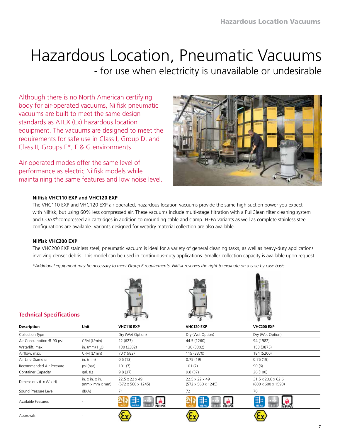# Hazardous Location, Pneumatic Vacuums

- for use when electricity is unavailable or undesirable

Although there is no North American certifying body for air-operated vacuums, Nilfisk pneumatic vacuums are built to meet the same design standards as ATEX (Ex) hazardous location equipment. The vacuums are designed to meet the requirements for safe use in Class I, Group D, and Class II, Groups E\*, F & G environments.

Air-operated modes offer the same level of performance as electric Nilfisk models while maintaining the same features and low noise level.



#### **Nilfisk VHC110 EXP and VHC120 EXP**

The VHC110 EXP and VHC120 EXP air-operated, hazardous location vacuums provide the same high suction power you expect with Nilfisk, but using 60% less compressed air. These vacuums include multi-stage filtration with a PullClean filter cleaning system and COAX® compressed air cartridges in addition to grounding cable and clamp. HEPA variants as well as complete stainless steel configurations are available. Variants designed for wet/dry material collection are also available.

#### **Nilfisk VHC200 EXP**

The VHC200 EXP stainless steel, pneumatic vacuum is ideal for a variety of general cleaning tasks, as well as heavy-duty applications involving denser debris. This model can be used in continuous-duty applications. Smaller collection capacity is available upon request.

*\*Additional equipment may be necessary to meet Group E requirements. Nilfisk reserves the right to evaluate on a case-by-case basis.*







#### **Technical Specifications**

|                           |                                       |                                                  | ◡                                                | $\cdot$                                              |
|---------------------------|---------------------------------------|--------------------------------------------------|--------------------------------------------------|------------------------------------------------------|
| <b>Description</b>        | <b>Unit</b>                           | VHC110 EXP                                       | VHC120 EXP                                       | VHC200 EXP                                           |
| Collection Type           |                                       | Dry (Wet Option)                                 | Dry (Wet Option)                                 | Dry (Wet Option)                                     |
| Air Consumption @ 90 psi  | CFM (L/min)                           | 22 (623)                                         | 44.5 (1260)                                      | 94 (1982)                                            |
| Waterlift, max.           | in. ( $mm$ ) $H2O$                    | 130 (3302)                                       | 130 (3302)                                       | 153 (3875)                                           |
| Airflow, max.             | CFM (L/min)                           | 70 (1982)                                        | 119 (3370)                                       | 184 (5200)                                           |
| Air Line Diameter         | in. $(mm)$                            | 0.5(13)                                          | 0.75(19)                                         | 0.75(19)                                             |
| Recommended Air Pressure  | psi (bar)                             | 101(7)                                           | 101(7)                                           | 90(6)                                                |
| <b>Container Capacity</b> | qal. (L)                              | 9.8(37)                                          | 9.8(37)                                          | 26 (100)                                             |
| Dimensions (L x W x H)    | in. $x$ in. $x$ in.<br>(mm x mm x mm) | 22.5 x 22 x 49<br>$(572 \times 560 \times 1245)$ | 22.5 x 22 x 49<br>$(572 \times 560 \times 1245)$ | 31.5 x 23.6 x 62.6<br>$(800 \times 600 \times 1590)$ |
| Sound Pressure Level      | dB(A)                                 | 71                                               | 72                                               | 70                                                   |
| Available Features        |                                       | ≣<br><b>NFPA</b>                                 | ≣∣<br><b>NFPA</b>                                | ≣⊧<br><b>HEPA</b><br><b>NFPA</b>                     |
| Approvals                 |                                       |                                                  |                                                  |                                                      |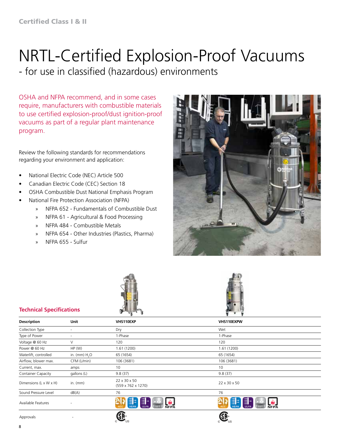# NRTL-Certified Explosion-Proof Vacuums

- for use in classified (hazardous) environments

OSHA and NFPA recommend, and in some cases require, manufacturers with combustible materials to use certified explosion-proof/dust ignition-proof vacuums as part of a regular plant maintenance program.

Review the following standards for recommendations regarding your environment and application:

- National Electric Code (NEC) Article 500
- Canadian Electric Code (CEC) Section 18
- OSHA Combustible Dust National Emphasis Program
- National Fire Protection Association (NFPA)
	- » NFPA 652 Fundamentals of Combustible Dust
	- » NFPA 61 Agricultural & Food Processing
	- » NFPA 484 Combustible Metals
	- » NFPA 654 Other Industries (Plastics, Pharma)
	- » NFPA 655 Sulfur







#### **Technical Specifications**

|                             |                | ∽ ng ∽o                               | ٠                                           |
|-----------------------------|----------------|---------------------------------------|---------------------------------------------|
| Unit<br><b>Description</b>  |                | VHS110EXP                             | VHS110EXPW                                  |
| Collection Type<br>Dry<br>۰ |                |                                       | Wet                                         |
| Type of Power               | ۰              | 1-Phase                               | 1-Phase                                     |
| Voltage @ 60 Hz             | V              | 120                                   | 120                                         |
| Power @ 60 Hz               | HP(W)          | 1.61(1200)                            | 1.61(1200)                                  |
| Waterlift, controlled       | in. $(mm) H2O$ | 65 (1654)                             | 65 (1654)                                   |
| Airflow, blower max.        | CFM (L/min)    | 106 (3681)                            | 106 (3681)                                  |
| Current, max.               | amps           | 10                                    | 10                                          |
| <b>Container Capacity</b>   | gallons (L)    | 9.8(37)                               | 9.8(37)                                     |
| Dimensions (L x W x H)      | in. $(mm)$     | 22 x 30 x 50<br>(559 x 762 x 1270)    | 22 x 30 x 50                                |
| Sound Pressure Level        | dB(A)          | 76                                    | 76                                          |
| Available Features          | ٠              | ≣⊧<br>Ξ<br><b>HEPJ</b><br><b>NFPA</b> | ≣⊧<br>Ξ<br><b>HEP</b><br>ULP<br><b>NFPA</b> |
| Approvals                   |                | 115                                   |                                             |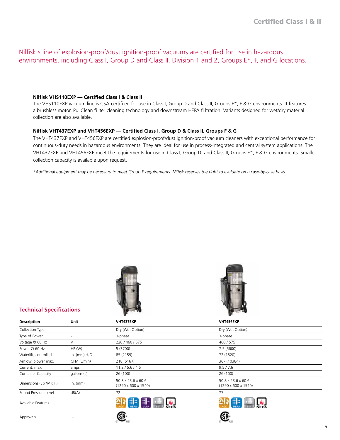Nilfisk's line of explosion-proof/dust ignition-proof vacuums are certified for use in hazardous environments, including Class I, Group D and Class II, Division 1 and 2, Groups E\*, F, and G locations.

#### **Nilfisk VHS110EXP — Certified Class I & Class II**

The VHS110EXP vacuum line is CSA-certifi ed for use in Class I, Group D and Class II, Groups E\*, F & G environments. It features a brushless motor, PullClean fi lter cleaning technology and downstream HEPA fi ltration. Variants designed for wet/dry material collection are also available.

#### **Nilfisk VHT437EXP and VHT456EXP — Certified Class I, Group D & Class II, Groups F & G**

The VHT437EXP and VHT456EXP are certified explosion-proof/dust ignition-proof vacuum cleaners with exceptional performance for continuous-duty needs in hazardous environments. They are ideal for use in process-integrated and central system applications. The VHT437EXP and VHT456EXP meet the requirements for use in Class I, Group D, and Class II, Groups E\*, F & G environments. Smaller collection capacity is available upon request.

\**Additional equipment may be necessary to meet Group E requirements. Nilfisk reserves the right to evaluate on a case-by-case basis.*





|                                      |                          |                                                       | ≖                                                     |  |
|--------------------------------------|--------------------------|-------------------------------------------------------|-------------------------------------------------------|--|
| <b>Description</b>                   | Unit                     | VHT437EXP                                             | VHT456EXP                                             |  |
| Collection Type                      | $\overline{\phantom{a}}$ | Dry (Wet Option)                                      | Dry (Wet Option)                                      |  |
| Type of Power                        | $\overline{\phantom{a}}$ | 3-phase                                               | 3-phase                                               |  |
| Voltage @ 60 Hz                      | V                        | 220 / 460 / 575                                       | 460/575                                               |  |
| Power @ 60 Hz                        | HP(W)                    | 5 (3700)                                              | 7.5(5600)                                             |  |
| Waterlift, controlled                | in. (mm) $H2O$           | 85 (2159)                                             | 72 (1820)                                             |  |
| Airflow, blower max.                 | CFM (L/min)              | 218 (6167)                                            | 367 (10384)                                           |  |
| Current, max.                        | amps                     | 11.2 / 5.6 / 4.5                                      | 9.5 / 7.6                                             |  |
| <b>Container Capacity</b>            | gallons (L)              | 26 (100)                                              | 26 (100)                                              |  |
| in. $(mm)$<br>Dimensions (L x W x H) |                          | 50.8 x 23.6 x 60.6<br>$(1290 \times 600 \times 1540)$ | 50.8 x 23.6 x 60.6<br>$(1290 \times 600 \times 1540)$ |  |
| Sound Pressure Level                 | dB(A)                    | 72                                                    | 77                                                    |  |
| Available Features                   |                          | 랿<br>≣                                                | 靠                                                     |  |
| Approvals                            |                          |                                                       |                                                       |  |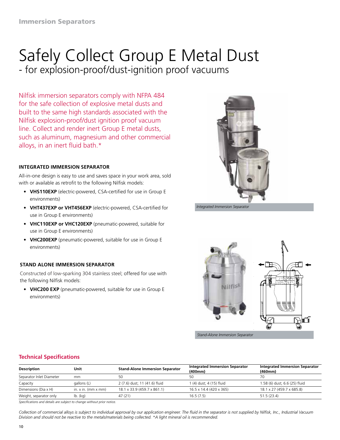## Safely Collect Group E Metal Dust - for explosion-proof/dust-ignition proof vacuums

Nilfisk immersion separators comply with NFPA 484 for the safe collection of explosive metal dusts and built to the same high standards associated with the Nilfisk explosion-proof/dust ignition proof vacuum line. Collect and render inert Group E metal dusts, such as aluminum, magnesium and other commercial alloys, in an inert fluid bath.\*

#### **INTEGRATED IMMERSION SEPARATOR**

All-in-one design is easy to use and saves space in your work area, sold with or available as retrofit to the following Nilfisk models:

- **• VHS110EXP** (electric-powered, CSA-certified for use in Group E environments)
- **• VHT437EXP or VHT456EXP** (electric-powered, CSA-certified for use in Group E environments)
- **• VHC110EXP or VHC120EXP** (pneumatic-powered, suitable for use in Group E environments)
- **• VHC200EXP** (pneumatic-powered, suitable for use in Group E environments)

#### **STAND ALONE IMMERSION SEPARATOR**

Constructed of low-sparking 304 stainless steel; offered for use with the following Nilfisk models:

**• VHC200 EXP** (pneumatic-powered, suitable for use in Group E environments)



*Integrated Immersion Separator*



*Stand-Alone Immersion Separator*

#### **Technical Specifications**

| <b>Description</b>       | Unit                          | <b>Stand-Alone Immersion Separator</b> | <b>Integrated Immersion Separator</b><br>(400mm) | <b>Integrated Immersion Separator</b><br>(460mm) |  |
|--------------------------|-------------------------------|----------------------------------------|--------------------------------------------------|--------------------------------------------------|--|
| Separator Inlet Diameter | mm                            | 50                                     | 50                                               | 70                                               |  |
| Capacity                 | gallons (L)                   | 2 (7.6) dust; 11 (41.6) fluid          | 1 (4) dust; 4 (15) fluid                         | 1.58 (6) dust; 6.6 (25) fluid                    |  |
| Dimensions (Dia x H)     | in. $x$ in. (mm $x$ mm)       | 18.1 x 33.9 (459.7 x 861.1)            | 16.5 x 14.4 (420 x 365)                          | 18.1 x 27 (459.7 x 685.8)                        |  |
| Weight, separator only   | $\mathsf{lb.}\ (\mathsf{kq})$ | 47 (21)                                | 16.5(7.5)                                        | 51.5(23.4)                                       |  |

*Specifications and details are subject to change without prior notice.*

*Collection of commercial alloys is subject to individual approval by our application engineer. The fluid in the separator is not supplied by Nilfisk, Inc., Industrial Vacuum Division and should not be reactive to the metals/materials being collected. \*A light mineral oil is recommended.*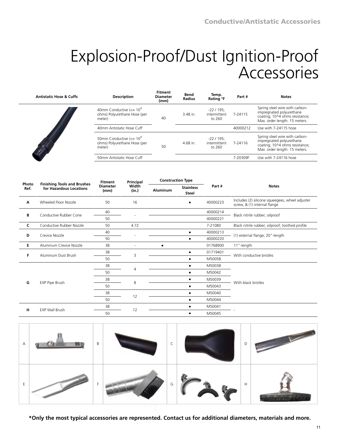# Explosion-Proof/Dust Ignition-Proof Accessories

| <b>Antistatic Hose &amp; Cuffs</b> | <b>Description</b>                                                                 | <b>Fitment</b><br><b>Diameter</b><br>(mm) | <b>Bend</b><br><b>Radius</b> | Temp.<br>Rating °F                    | Part#    | <b>Notes</b>                                                                                                                  |
|------------------------------------|------------------------------------------------------------------------------------|-------------------------------------------|------------------------------|---------------------------------------|----------|-------------------------------------------------------------------------------------------------------------------------------|
|                                    | 40mm Conductive $\left(<=10^{4} \right)$<br>ohms) Polyurethane Hose (per<br>meter) | 40                                        | 3.48 in.                     | $-22/195$ :<br>intermittent<br>to 260 | 7-24115  | Spring steel wire with carbon-<br>impregnated polyurethane<br>coating; 10^4 ohms resistance;<br>Max. order length: 15 meters. |
|                                    | 40mm Antistatic Hose Cuff                                                          |                                           |                              |                                       | 40000212 | Use with 7-24115 hose                                                                                                         |
|                                    | 50mm Conductive $\left(<=10^{4} \right)$<br>ohms) Polyurethane Hose (per<br>meter) | 50                                        | 4.68 in.                     | $-22/195$ :<br>intermittent<br>to 260 | 7-24116  | Spring steel wire with carbon-<br>impregnated polyurethane<br>coating; 10^4 ohms resistance;<br>Max. order length: 15 meters. |
|                                    | 50mm Antistatic Hose Cuff                                                          |                                           |                              |                                       | 7-20309F | Use with 7-24116 hose                                                                                                         |

|               |                                                               | <b>Fitment</b>          | Principal      | <b>Construction Type</b> |                                  |          |                                                                                 |
|---------------|---------------------------------------------------------------|-------------------------|----------------|--------------------------|----------------------------------|----------|---------------------------------------------------------------------------------|
| Photo<br>Ref. | <b>Finishing Tools and Brushes</b><br>for Hazardous Locations | <b>Diameter</b><br>(mm) | Width<br>(in.) | <b>Aluminum</b>          | <b>Stainless</b><br><b>Steel</b> | Part #   | <b>Notes</b>                                                                    |
| Α             | Wheeled Floor Nozzle                                          | 50                      | 16             |                          |                                  | 40000223 | Includes (2) silicone squeegees, wheel adjuster<br>screw, & (1) internal flange |
|               | Conductive Rubber Cone                                        | 40                      |                |                          |                                  | 40000214 |                                                                                 |
| В             |                                                               | 50                      |                |                          |                                  | 40000221 | Black nitrile rubber; oilproof                                                  |
| C             | Conductive Rubber Nozzle                                      | 50                      | 4.72           |                          |                                  | 7-21080  | Black nitrile rubber; oilproof; toothed profile                                 |
| D             | Crevice Nozzle                                                | 40                      |                |                          |                                  | 40000213 | (1) external flange; 20"-length                                                 |
|               |                                                               | 50                      |                |                          |                                  | 40000220 |                                                                                 |
| Е             | Aluminum Crevice Nozzle                                       | 38                      |                | $\bullet$                |                                  | 01768900 | 11"-length                                                                      |
| F             | Aluminum Dust Brush                                           | 38                      | 3              |                          | $\bullet$                        | 01719401 | With conductive bristles                                                        |
|               |                                                               | 50                      |                |                          | $\bullet$                        | M50058   |                                                                                 |
|               |                                                               | 38                      |                |                          | $\bullet$                        | M50038   |                                                                                 |
|               |                                                               | 50                      | $\overline{4}$ |                          | ٠                                | M50042   |                                                                                 |
|               |                                                               | 38                      | 8              |                          |                                  | M50039   |                                                                                 |
| G             | EXP Pipe Brush                                                | 50                      |                |                          | $\bullet$                        | M50043   | With black bristles                                                             |
|               |                                                               | 38                      |                |                          | ٠                                | M50040   |                                                                                 |
|               |                                                               | 50                      | 12             |                          | $\bullet$                        | M50044   |                                                                                 |
|               |                                                               | 38                      |                |                          | ٠                                | M50041   |                                                                                 |
|               | н<br>EXP Wall Brush                                           | 50                      | 12             |                          | ٠                                | M50045   |                                                                                 |



**\*Only the most typical accessories are represented. Contact us for additional diameters, materials and more.**